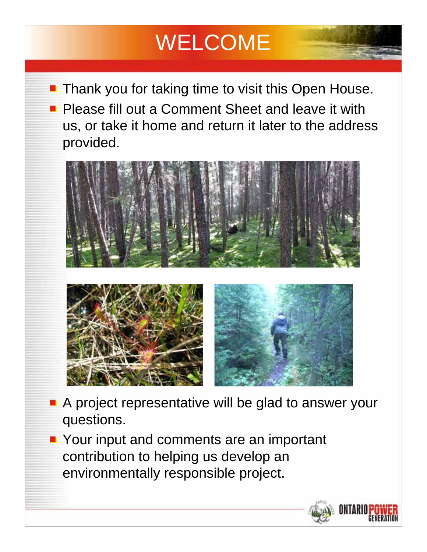# **WELCOME**

Thank you for taking time to visit this Open House. Please fill out a Comment Sheet and leave it with us, or take it home and return it later to the address provided.





- **A** project representative will be glad to answer your questions.
- **Your input and comments are an important** contribution to helping us develop an environmentally responsible project.

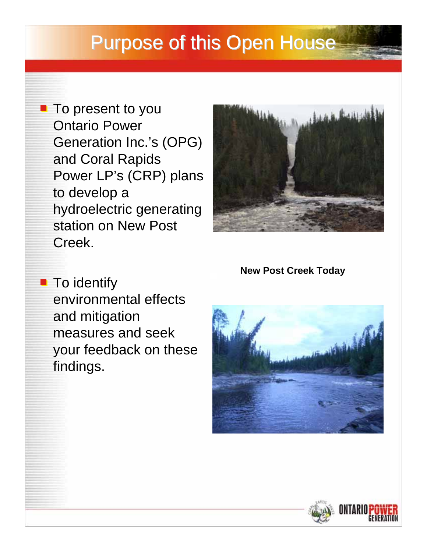### Purpose of this Open House

**To present to you** Ontario Power Generation Inc.'s (OPG) and Coral Rapids Power LP's (CRP) plans to develop a hydroelectric generating station on New Post Creek.



**New Post Creek Today**

**To identify** environmental effects and mitigation measures and seek your feedback on these findings.



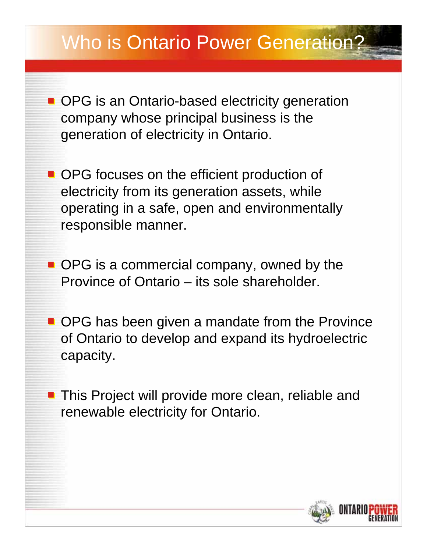- **OPG** is an Ontario-based electricity generation company whose principal business is the generation of electricity in Ontario.
- OPG focuses on the efficient production of electricity from its generation assets, while operating in a safe, open and environmentally responsible manner.
- OPG is a commercial company, owned by the Province of Ontario – its sole shareholder.
- **OPG** has been given a mandate from the Province of Ontario to develop and expand its hydroelectric capacity.
- **This Project will provide more clean, reliable and** renewable electricity for Ontario.

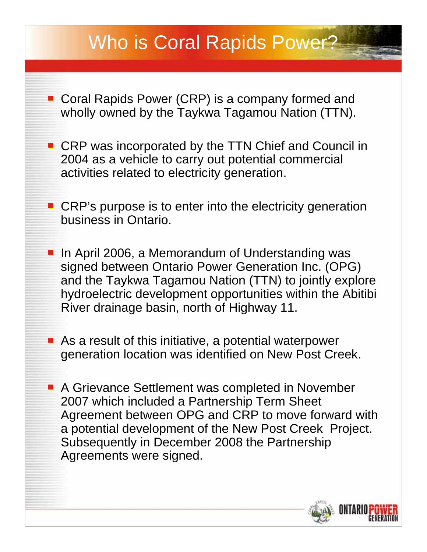### Who is Coral Rapids Power?

- Coral Rapids Power (CRP) is a company formed and wholly owned by the Taykwa Tagamou Nation (TTN).
- CRP was incorporated by the TTN Chief and Council in 2004 as a vehicle to carry out potential commercial activities related to electricity generation.
- CRP's purpose is to enter into the electricity generation business in Ontario.
	- In April 2006, a Memorandum of Understanding was signed between Ontario Power Generation Inc. (OPG) and the Taykwa Tagamou Nation (TTN) to jointly explore hydroelectric development opportunities within the Abitibi River drainage basin, north of Highway 11.
- As a result of this initiative, a potential waterpower generation location was identified on New Post Creek.
- A Grievance Settlement was completed in November 2007 which included a Partnership Term Sheet Agreement between OPG and CRP to move forward with a potential development of the New Post Creek Project. Subsequently in December 2008 the Partnership Agreements were signed.

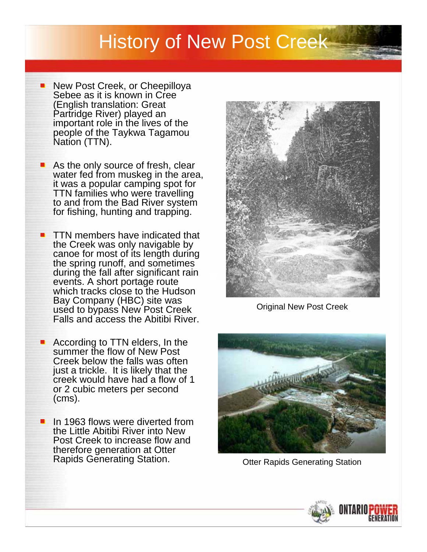#### History of New Post Creek

- New Post Creek, or Cheepilloya Sebee as it is known in Cree (English translation: Great Partridge River) played an important role in the lives of the people of the Taykwa Tagamou Nation (TTN).
- As the only source of fresh, clear water fed from muskeg in the area, it was a popular camping spot for TTN families who were travelling to and from the Bad River system for fishing, hunting and trapping.
- **TTN** members have indicated that the Creek was only navigable by canoe for most of its length during the spring runoff, and sometimes during the fall after significant rain events. A short portage route which tracks close to the Hudson Bay Company (HBC) site was used to bypass New Post Creek Falls and access the Abitibi River.
- According to TTN elders, In the summer the flow of New Post Creek below the falls was often just a trickle. It is likely that the creek would have had a flow of 1 or 2 cubic meters per second (cms).
- In 1963 flows were diverted from the Little Abitibi River into New Post Creek to increase flow and therefore generation at Otter Rapids Generating Station. The Correct Context Correcting Station



Original New Post Creek



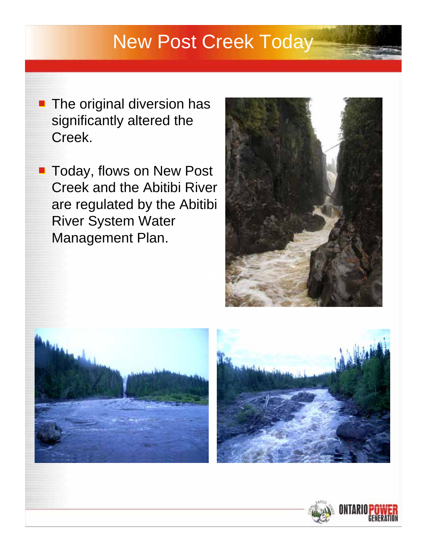## New Post Creek Today

- **The original diversion has** significantly altered the Creek.
- **Today, flows on New Post** Creek and the Abitibi River are regulated by the Abitibi River System Water Management Plan.







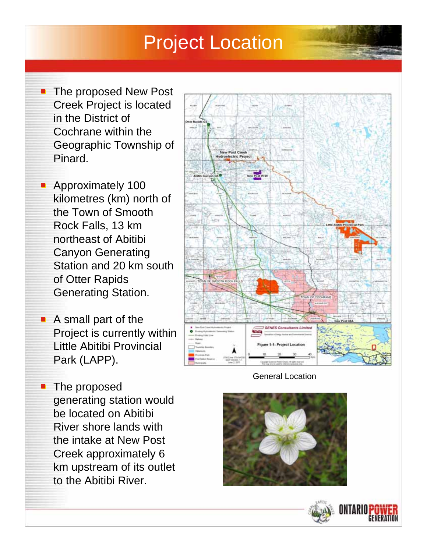### Project Location

- **The proposed New Post** Creek Project is located in the District of Cochrane within the Geographic Township of Pinard.
- **Approximately 100** kilometres (km) north of the Town of Smooth Rock Falls, 13 km northeast of Abitibi Canyon Generating Station and 20 km south of Otter Rapids Generating Station.
- A small part of the Project is currently within Little Abitibi Provincial Park (LAPP).
- **The proposed** generating station would be located on Abitibi River shore lands with the intake at New Post Creek approximately 6 km upstream of its outlet to the Abitibi River.



General Location



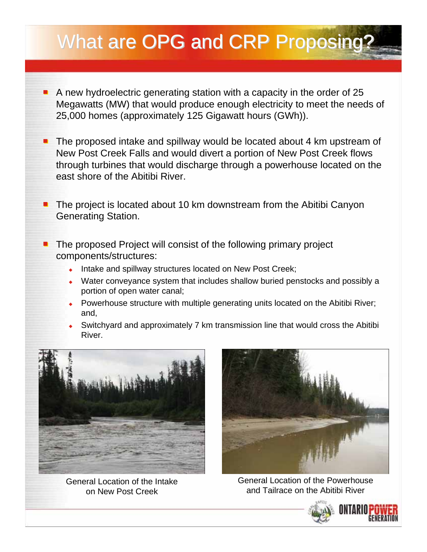# What are OPG and CRP Proposing?

- A new hydroelectric generating station with a capacity in the order of 25 Megawatts (MW) that would produce enough electricity to meet the needs of 25,000 homes (approximately 125 Gigawatt hours (GWh)).
- The proposed intake and spillway would be located about 4 km upstream of  $\blacksquare$ New Post Creek Falls and would divert a portion of New Post Creek flows through turbines that would discharge through a powerhouse located on the east shore of the Abitibi River.
- $\blacksquare$  The project is located about 10 km downstream from the Abitibi Canyon Generating Station.
- The proposed Project will consist of the following primary project components/structures:
	- Intake and spillway structures located on New Post Creek;
	- Water conveyance system that includes shallow buried penstocks and possibly a portion of open water canal;
	- Powerhouse structure with multiple generating units located on the Abitibi River; and,
	- Switchyard and approximately 7 km transmission line that would cross the Abitibi River.



General Location of the Intake on New Post Creek



General Location of the Powerhouse and Tailrace on the Abitibi River

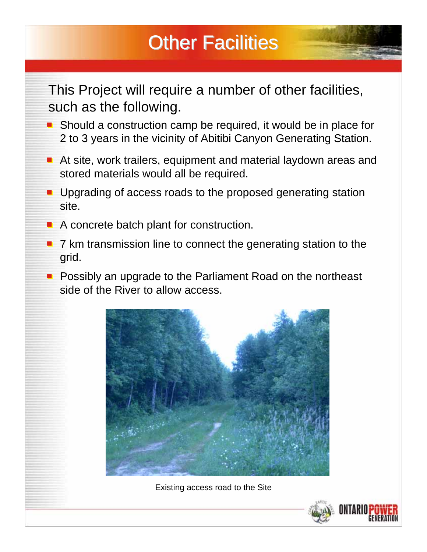# **Other Facilities**

#### This Project will require a number of other facilities, such as the following.

- Should a construction camp be required, it would be in place for 2 to 3 years in the vicinity of Abitibi Canyon Generating Station.
- At site, work trailers, equipment and material laydown areas and stored materials would all be required.
- **Upgrading of access roads to the proposed generating station** site.
- A concrete batch plant for construction. ш
- 7 km transmission line to connect the generating station to the grid.
- **Possibly an upgrade to the Parliament Road on the northeast** side of the River to allow access.



Existing access road to the Site

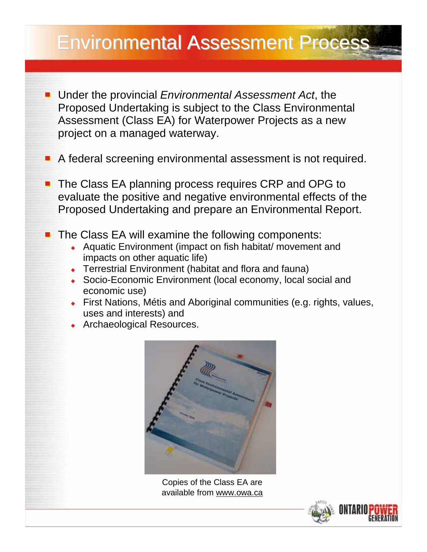- Under the provincial *Environmental Assessment Act*, the Proposed Undertaking is subject to the Class Environmental Assessment (Class EA) for Waterpower Projects as a new project on a managed waterway.
- A federal screening environmental assessment is not required.
- The Class EA planning process requires CRP and OPG to evaluate the positive and negative environmental effects of the Proposed Undertaking and prepare an Environmental Report.
- **The Class EA will examine the following components:** 
	- ◆ Aquatic Environment (impact on fish habitat/ movement and impacts on other aquatic life)
	- ◆ Terrestrial Environment (habitat and flora and fauna)
	- ◆ Socio-Economic Environment (local economy, local social and economic use)
	- First Nations, Métis and Aboriginal communities (e.g. rights, values, uses and interests) and
	- **Archaeological Resources.**



Copies of the Class EA are available from www.owa.ca

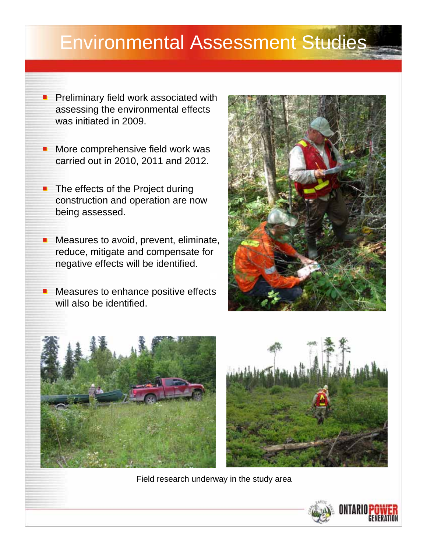### Environmental Assessment Studies

- Preliminary field work associated with assessing the environmental effects was initiated in 2009.
- More comprehensive field work was ۰ carried out in 2010, 2011 and 2012.
- The effects of the Project during ۰ construction and operation are now being assessed.
- Measures to avoid, prevent, eliminate, reduce, mitigate and compensate for negative effects will be identified.
- Measures to enhance positive effects ۰ will also be identified.







Field research underway in the study area

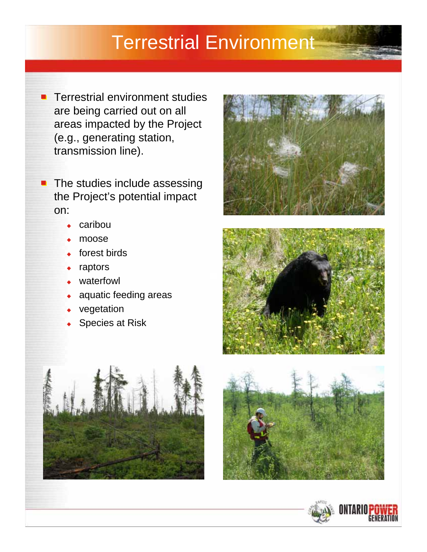#### Terrestrial Environment

Terrestrial environment studies  $\blacksquare$ are being carried out on all areas impacted by the Project (e.g., generating station, transmission line).

 $\blacksquare$  The studies include assessing the Project's potential impact on:

- $\leftarrow$  caribou
- $\bullet$  moose
- forest birds
- raptors
- waterfowl
- aquatic feeding areas
- vegetation
- Species at Risk









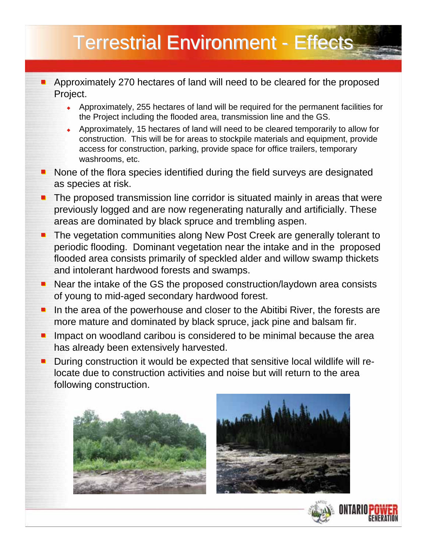- Approximately 270 hectares of land will need to be cleared for the proposed Project.
	- Approximately, 255 hectares of land will be required for the permanent facilities for the Project including the flooded area, transmission line and the GS.
	- Approximately, 15 hectares of land will need to be cleared temporarily to allow for construction. This will be for areas to stockpile materials and equipment, provide access for construction, parking, provide space for office trailers, temporary washrooms, etc.
- None of the flora species identified during the field surveys are designated as species at risk.
- The proposed transmission line corridor is situated mainly in areas that were  $\blacksquare$ previously logged and are now regenerating naturally and artificially. These areas are dominated by black spruce and trembling aspen.
- The vegetation communities along New Post Creek are generally tolerant to  $\blacksquare$ periodic flooding. Dominant vegetation near the intake and in the proposed flooded area consists primarily of speckled alder and willow swamp thickets and intolerant hardwood forests and swamps.
- Near the intake of the GS the proposed construction/laydown area consists  $\blacksquare$ of young to mid-aged secondary hardwood forest.
- In the area of the powerhouse and closer to the Abitibi River, the forests are  $\blacksquare$ more mature and dominated by black spruce, jack pine and balsam fir.
- Impact on woodland caribou is considered to be minimal because the area  $\blacksquare$ has already been extensively harvested.
- During construction it would be expected that sensitive local wildlife will re- $\blacksquare$ locate due to construction activities and noise but will return to the area following construction.





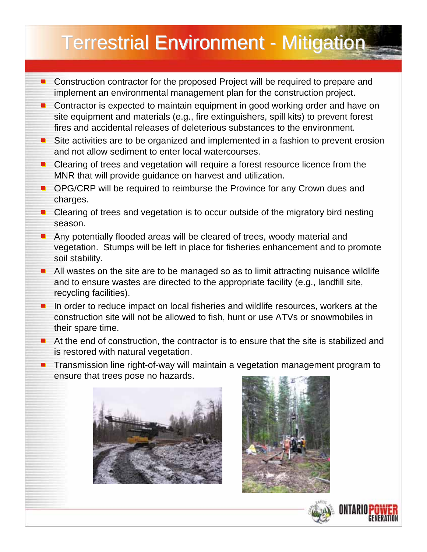# **Terrestrial Environment - Mitigation**

- Construction contractor for the proposed Project will be required to prepare and implement an environmental management plan for the construction project.
- Contractor is expected to maintain equipment in good working order and have on site equipment and materials (e.g., fire extinguishers, spill kits) to prevent forest fires and accidental releases of deleterious substances to the environment.
- Site activities are to be organized and implemented in a fashion to prevent erosion and not allow sediment to enter local watercourses.
- Clearing of trees and vegetation will require a forest resource licence from the  $\blacksquare$ MNR that will provide guidance on harvest and utilization.
- OPG/CRP will be required to reimburse the Province for any Crown dues and  $\blacksquare$ charges.
- Clearing of trees and vegetation is to occur outside of the migratory bird nesting season.
- Any potentially flooded areas will be cleared of trees, woody material and  $\blacksquare$ vegetation. Stumps will be left in place for fisheries enhancement and to promote soil stability.
- **All wastes on the site are to be managed so as to limit attracting nuisance wildlife** and to ensure wastes are directed to the appropriate facility (e.g., landfill site, recycling facilities).
- In order to reduce impact on local fisheries and wildlife resources, workers at the construction site will not be allowed to fish, hunt or use ATVs or snowmobiles in their spare time.
- At the end of construction, the contractor is to ensure that the site is stabilized and is restored with natural vegetation.
- **Transmission line right-of-way will maintain a vegetation management program to** ensure that trees pose no hazards.







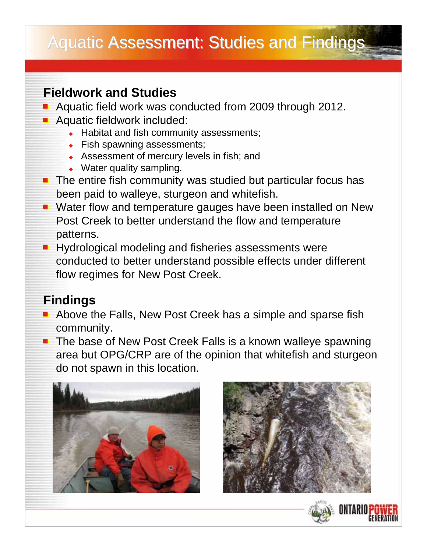#### **Fieldwork and Studies**

- Aquatic field work was conducted from 2009 through 2012.
- **Aquatic fieldwork included:** 
	- ◆ Habitat and fish community assessments;
	- Fish spawning assessments;
	- Assessment of mercury levels in fish; and
	- Water quality sampling.
- The entire fish community was studied but particular focus has been paid to walleye, sturgeon and whitefish.
- **Water flow and temperature gauges have been installed on New** Post Creek to better understand the flow and temperature patterns.
- Hydrological modeling and fisheries assessments were conducted to better understand possible effects under different flow regimes for New Post Creek.

#### **Findings**

- Above the Falls, New Post Creek has a simple and sparse fish community.
- **The base of New Post Creek Falls is a known walleye spawning** area but OPG/CRP are of the opinion that whitefish and sturgeon do not spawn in this location.





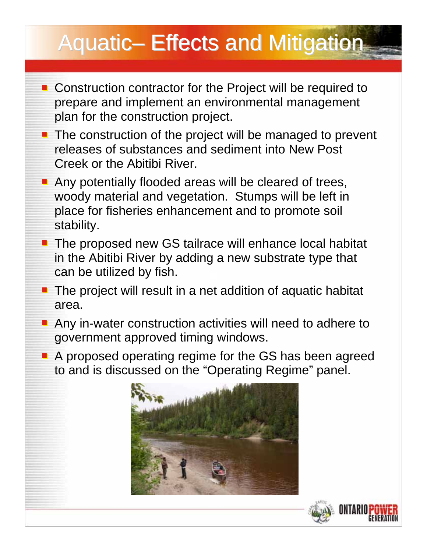# Aquatic– Effects and Mitigation

- Construction contractor for the Project will be required to prepare and implement an environmental management plan for the construction project.
- The construction of the project will be managed to prevent releases of substances and sediment into New Post Creek or the Abitibi River.
- **Any potentially flooded areas will be cleared of trees,** woody material and vegetation. Stumps will be left in place for fisheries enhancement and to promote soil stability.
- The proposed new GS tailrace will enhance local habitat in the Abitibi River by adding a new substrate type that can be utilized by fish.
- **The project will result in a net addition of aquatic habitat** area.
- **Any in-water construction activities will need to adhere to** government approved timing windows.
- A proposed operating regime for the GS has been agreed to and is discussed on the "Operating Regime" panel.



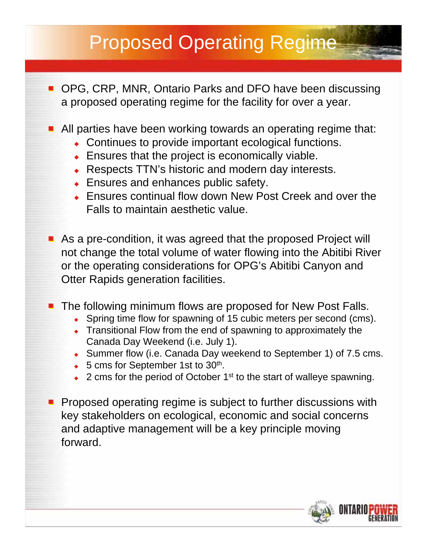# Proposed Operating Regime

- OPG, CRP, MNR, Ontario Parks and DFO have been discussing a proposed operating regime for the facility for over a year.
- **All parties have been working towards an operating regime that:** 
	- Continues to provide important ecological functions.
	- ◆ Ensures that the project is economically viable.
	- ◆ Respects TTN's historic and modern day interests.
	- ◆ Ensures and enhances public safety.
	- Ensures continual flow down New Post Creek and over the Falls to maintain aesthetic value.
- As a pre-condition, it was agreed that the proposed Project will not change the total volume of water flowing into the Abitibi River or the operating considerations for OPG's Abitibi Canyon and Otter Rapids generation facilities.
- **The following minimum flows are proposed for New Post Falls.** 
	- Spring time flow for spawning of 15 cubic meters per second (cms).
	- Transitional Flow from the end of spawning to approximately the Canada Day Weekend (i.e. July 1).
	- Summer flow (i.e. Canada Day weekend to September 1) of 7.5 cms.
	- $\bullet$  5 cms for September 1st to 30<sup>th</sup>.
	- ◆ 2 cms for the period of October 1<sup>st</sup> to the start of walleye spawning.
- **Proposed operating regime is subject to further discussions with** key stakeholders on ecological, economic and social concerns and adaptive management will be a key principle moving forward.

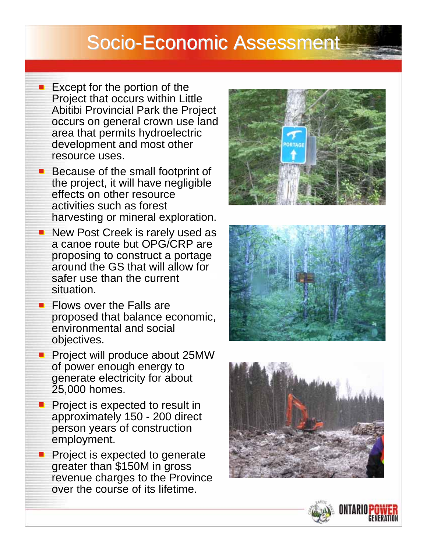#### Socio-Economic Assessment

- $\blacksquare$  Except for the portion of the Project that occurs within Little Abitibi Provincial Park the Project occurs on general crown use land area that permits hydroelectric development and most other resource uses.
- Because of the small footprint of the project, it will have negligible effects on other resource activities such as forest harvesting or mineral exploration.
- New Post Creek is rarely used as a canoe route but OPG/CRP are proposing to construct a portage around the GS that will allow for safer use than the current situation.
- **Flows over the Falls are** proposed that balance economic, environmental and social objectives.
- **Project will produce about 25MW** of power enough energy to generate electricity for about 25,000 homes.
- Project is expected to result in approximately 150 - 200 direct person years of construction employment.
- Project is expected to generate greater than \$150M in gross revenue charges to the Province over the course of its lifetime.







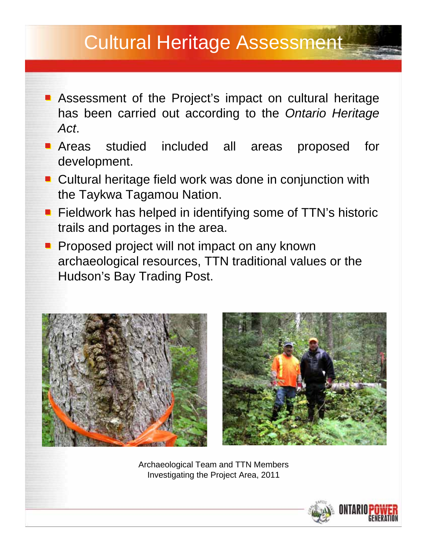- **Assessment of the Project's impact on cultural heritage** has been carried out according to the *Ontario Heritage Act*.
- **Areas** studied included all areas proposed for development.
- Cultural heritage field work was done in conjunction with the Taykwa Tagamou Nation.
- **Fieldwork has helped in identifying some of TTN's historic** trails and portages in the area.
- **Proposed project will not impact on any known** archaeological resources, TTN traditional values or the Hudson's Bay Trading Post.





Archaeological Team and TTN Members Investigating the Project Area, 2011

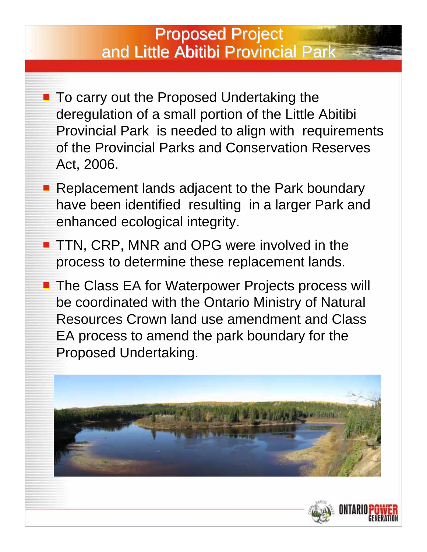#### **Proposed Project** and Little Abitibi Provincial Park

- To carry out the Proposed Undertaking the deregulation of a small portion of the Little Abitibi Provincial Park is needed to align with requirements of the Provincial Parks and Conservation Reserves Act, 2006.
- Replacement lands adjacent to the Park boundary have been identified resulting in a larger Park and enhanced ecological integrity.
- **TTN, CRP, MNR and OPG were involved in the** process to determine these replacement lands.
- **The Class EA for Waterpower Projects process will** be coordinated with the Ontario Ministry of Natural Resources Crown land use amendment and Class EA process to amend the park boundary for the Proposed Undertaking.



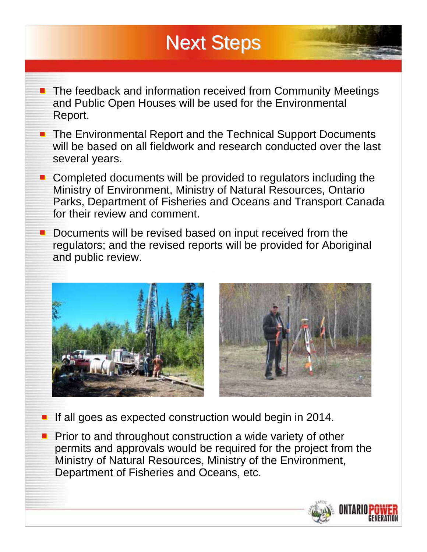## **Next Steps**

- The feedback and information received from Community Meetings and Public Open Houses will be used for the Environmental Report.
- The Environmental Report and the Technical Support Documents will be based on all fieldwork and research conducted over the last several years.
- Completed documents will be provided to regulators including the Ministry of Environment, Ministry of Natural Resources, Ontario Parks, Department of Fisheries and Oceans and Transport Canada for their review and comment.
- Documents will be revised based on input received from the regulators; and the revised reports will be provided for Aboriginal and public review.





If all goes as expected construction would begin in 2014.  $\blacksquare$ 

Prior to and throughout construction a wide variety of other permits and approvals would be required for the project from the Ministry of Natural Resources, Ministry of the Environment, Department of Fisheries and Oceans, etc.

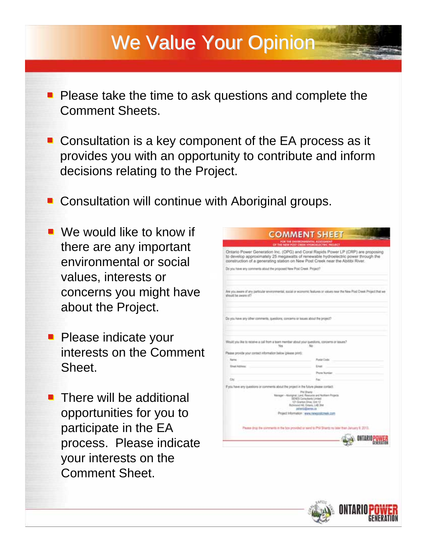# We Value Your Opinion

- **Please take the time to ask questions and complete the** Comment Sheets.
- Consultation is a key component of the EA process as it provides you with an opportunity to contribute and inform decisions relating to the Project.
- **Consultation will continue with Aboriginal groups.**
- We would like to know if there are any important environmental or social values, interests or concerns you might have about the Project.
- **Please indicate your** interests on the Comment Sheet.
- $\blacksquare$  There will be additional opportunities for you to participate in the EA process. Please indicate your interests on the Comment Sheet.

|                                                               | <b>COMMENT SHEET</b>                                                                                                                                                                                                                                      |
|---------------------------------------------------------------|-----------------------------------------------------------------------------------------------------------------------------------------------------------------------------------------------------------------------------------------------------------|
|                                                               | OF THE NEW POST CREEK HYDROBLECTEC PROJECT                                                                                                                                                                                                                |
|                                                               | Ontario Power Generation Inc. (OPG) and Coral Rapids Power LP (CRP) are proposing<br>to develop approximately 25 megawatts of renewable hydroelectric power through the<br>construction of a generating station on New Post Creek near the Abitibi River. |
|                                                               | Do you have any comments about the proposed New Post Creek. Project?                                                                                                                                                                                      |
|                                                               |                                                                                                                                                                                                                                                           |
| should be aware of?                                           | Are you aware of any particular environmental, social or economic features or values near the New Post Crask Project that we                                                                                                                              |
|                                                               |                                                                                                                                                                                                                                                           |
|                                                               | Do you have any other comments, questions, concerns or issues about the project?                                                                                                                                                                          |
|                                                               |                                                                                                                                                                                                                                                           |
|                                                               |                                                                                                                                                                                                                                                           |
|                                                               | Would you like to receive a call from a team member about your questions, concerns or issues?                                                                                                                                                             |
|                                                               | No<br>Yins                                                                                                                                                                                                                                                |
|                                                               |                                                                                                                                                                                                                                                           |
|                                                               |                                                                                                                                                                                                                                                           |
| <b>Name:</b>                                                  | <b>Russe Code:</b>                                                                                                                                                                                                                                        |
| <b>Slow/Athens</b>                                            | <b>English</b>                                                                                                                                                                                                                                            |
|                                                               | Phone Number                                                                                                                                                                                                                                              |
| Civ.                                                          | Fax                                                                                                                                                                                                                                                       |
|                                                               | If you have any questions or comments about the project in the future please contact:                                                                                                                                                                     |
| Please provide your contact information below (please print): | <b>PIV Brantz</b><br>Manager - Abortginal, Land, Resource and Northern Projects.<br><b>SENES Consultants Limiast</b><br>121 Gramon Drive, Unit 12<br>Richmond Hill, Chilanic L4B 3NA<br>petentra@inimes.ca                                                |
|                                                               | Project Information : www.newpostcreek.com                                                                                                                                                                                                                |
|                                                               | Please drug the comments in the box provided or send to Phil Shantz no base than January 9, 2013.                                                                                                                                                         |
|                                                               |                                                                                                                                                                                                                                                           |